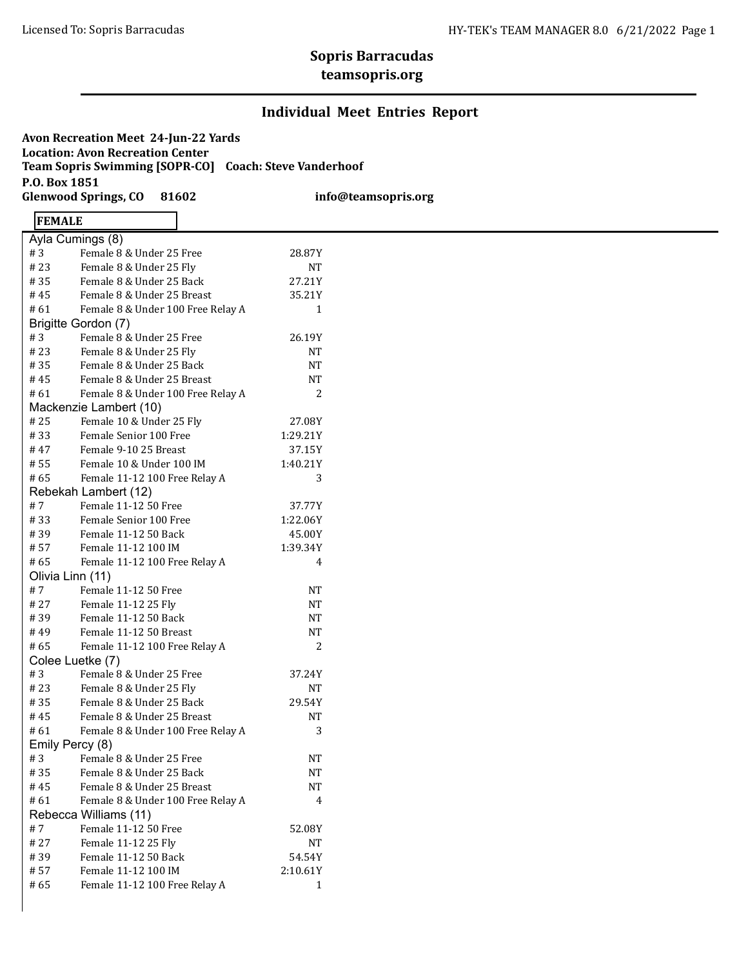# **Sopris Barracudas**

#### **teamsopris.org**

#### **Individual Meet Entries Report**

**Avon Recreation Meet 24-Jun-22 Yards Location: Avon Recreation Center Team Sopris Swimming [SOPR-CO] Coach: Steve Vanderhoof P.O. Box 1851 Glenwood Springs, CO 81602 info@teamsopris.org**

### **FEMALE**

| Ayla Cumings (8)       |                                   |           |  |  |  |  |  |
|------------------------|-----------------------------------|-----------|--|--|--|--|--|
| #3                     | Female 8 & Under 25 Free          | 28.87Y    |  |  |  |  |  |
| # 23                   | Female 8 & Under 25 Fly           | NT        |  |  |  |  |  |
| #35                    | Female 8 & Under 25 Back          | 27.21Y    |  |  |  |  |  |
| #45                    | Female 8 & Under 25 Breast        | 35.21Y    |  |  |  |  |  |
| # 61                   | Female 8 & Under 100 Free Relay A | 1         |  |  |  |  |  |
|                        | Brigitte Gordon (7)               |           |  |  |  |  |  |
| #3                     | Female 8 & Under 25 Free          | 26.19Y    |  |  |  |  |  |
| # 23                   | Female 8 & Under 25 Fly           | NT        |  |  |  |  |  |
| #35                    | Female 8 & Under 25 Back          | NT        |  |  |  |  |  |
| # 45                   | Female 8 & Under 25 Breast        | NT        |  |  |  |  |  |
| # 61                   | Female 8 & Under 100 Free Relay A | 2         |  |  |  |  |  |
| Mackenzie Lambert (10) |                                   |           |  |  |  |  |  |
| # 25                   | Female 10 & Under 25 Fly          | 27.08Y    |  |  |  |  |  |
| #33                    | Female Senior 100 Free            | 1:29.21Y  |  |  |  |  |  |
| # 47                   | Female 9-10 25 Breast             | 37.15Y    |  |  |  |  |  |
| # 55                   | Female 10 & Under 100 IM          | 1:40.21Y  |  |  |  |  |  |
| # 65                   | Female 11-12 100 Free Relay A     | 3         |  |  |  |  |  |
|                        | Rebekah Lambert (12)              |           |  |  |  |  |  |
| #7                     | Female 11-12 50 Free              | 37.77Y    |  |  |  |  |  |
| #33                    | Female Senior 100 Free            | 1:22.06Y  |  |  |  |  |  |
| #39                    | Female 11-12 50 Back              | 45.00Y    |  |  |  |  |  |
| # 57                   | Female 11-12 100 IM               | 1:39.34Y  |  |  |  |  |  |
| #65                    | Female 11-12 100 Free Relay A     | 4         |  |  |  |  |  |
| Olivia Linn (11)       |                                   |           |  |  |  |  |  |
| #7                     | Female 11-12 50 Free              | <b>NT</b> |  |  |  |  |  |
| # 27                   | Female 11-12 25 Fly               | NΤ        |  |  |  |  |  |
| #39                    | Female 11-12 50 Back              | NT        |  |  |  |  |  |
| # 49                   | Female 11-12 50 Breast            | NT        |  |  |  |  |  |
| #65                    | Female 11-12 100 Free Relay A     | 2         |  |  |  |  |  |
| Colee Luetke (7)       |                                   |           |  |  |  |  |  |
| #3                     | Female 8 & Under 25 Free          | 37.24Y    |  |  |  |  |  |
| # 23                   | Female 8 & Under 25 Fly           | NT        |  |  |  |  |  |
| #35                    | Female 8 & Under 25 Back          | 29.54Y    |  |  |  |  |  |
| # 45                   | Female 8 & Under 25 Breast        | <b>NT</b> |  |  |  |  |  |
| # 61                   | Female 8 & Under 100 Free Relay A | 3         |  |  |  |  |  |
| Emily Percy (8)        |                                   |           |  |  |  |  |  |
| #3                     | Female 8 & Under 25 Free          | NΤ        |  |  |  |  |  |
| #35                    | Female 8 & Under 25 Back          | NT        |  |  |  |  |  |
| #45                    | Female 8 & Under 25 Breast        | NΤ        |  |  |  |  |  |
| # 61                   | Female 8 & Under 100 Free Relay A | 4         |  |  |  |  |  |
| Rebecca Williams (11)  |                                   |           |  |  |  |  |  |
| #7                     | Female 11-12 50 Free              | 52.08Y    |  |  |  |  |  |
| # 27                   | Female 11-12 25 Fly               | NΤ        |  |  |  |  |  |
| #39                    | Female 11-12 50 Back              | 54.54Y    |  |  |  |  |  |
| #57                    | Female 11-12 100 IM               | 2:10.61Y  |  |  |  |  |  |
| #65                    | Female 11-12 100 Free Relay A     | 1         |  |  |  |  |  |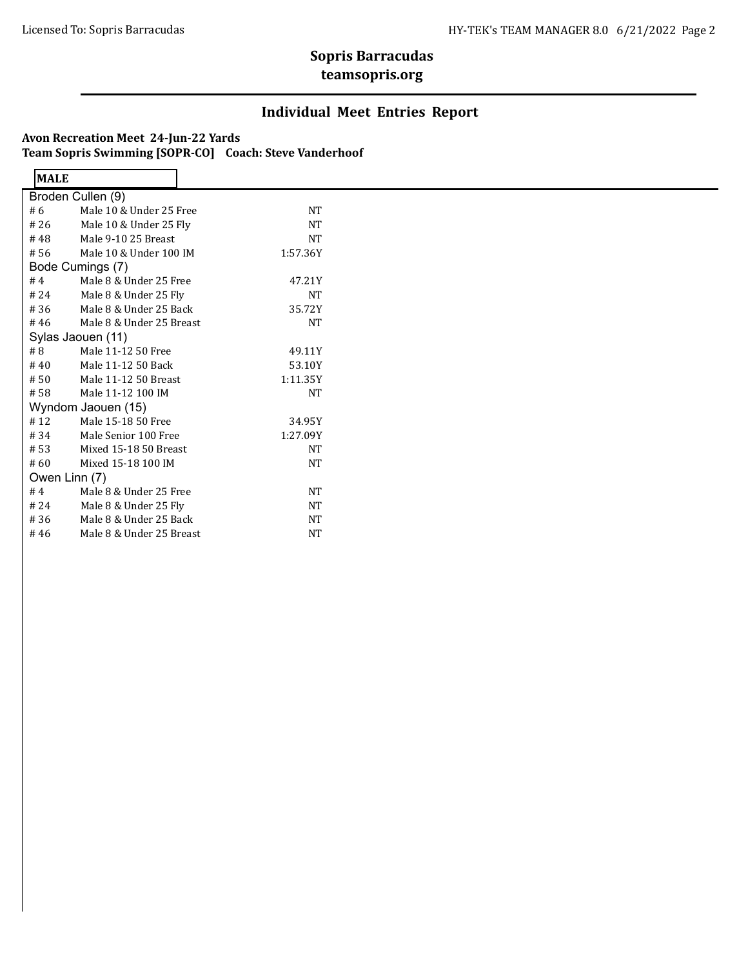## **Sopris Barracudas**

#### **teamsopris.org**

#### **Individual Meet Entries Report**

#### **Avon Recreation Meet 24-Jun-22 Yards Team Sopris Swimming [SOPR-CO] Coach: Steve Vanderhoof**

 $\blacksquare$ 

| <b>MALE</b>        |                                  |           |  |  |  |
|--------------------|----------------------------------|-----------|--|--|--|
| Broden Cullen (9)  |                                  |           |  |  |  |
| # 6                | Male 10 & Under 25 Free          | NT        |  |  |  |
| #26                | Male 10 & Under 25 Fly           | <b>NT</b> |  |  |  |
| #48                | Male 9-10 25 Breast              | NT        |  |  |  |
| # 56               | Male 10 & Under 100 IM           | 1:57.36Y  |  |  |  |
|                    | Bode Cumings (7)                 |           |  |  |  |
| #4                 | Male 8 & Under 25 Free           | 47.21Y    |  |  |  |
| # 24               | Male 8 & Under 25 Fly<br>NT      |           |  |  |  |
| #36                | Male 8 & Under 25 Back<br>35.72Y |           |  |  |  |
| #46                | Male 8 & Under 25 Breast         | NT        |  |  |  |
|                    | Sylas Jaouen (11)                |           |  |  |  |
| # 8                | Male 11-12 50 Free               | 49.11Y    |  |  |  |
| #40                | Male 11-12 50 Back               | 53.10Y    |  |  |  |
| #50                | Male 11-12 50 Breast             | 1:11.35Y  |  |  |  |
| #58                | Male 11-12 100 IM<br>NT          |           |  |  |  |
| Wyndom Jaouen (15) |                                  |           |  |  |  |
| #12                | Male 15-18 50 Free               | 34.95Y    |  |  |  |
| #34                | Male Senior 100 Free             | 1:27.09Y  |  |  |  |
| #53                | Mixed 15-18 50 Breast            | <b>NT</b> |  |  |  |
| # 60               | Mixed 15-18 100 IM               | NT        |  |  |  |
| Owen Linn (7)      |                                  |           |  |  |  |
| #4                 | Male 8 & Under 25 Free           | NT        |  |  |  |
| # 24               | Male 8 & Under 25 Fly            | <b>NT</b> |  |  |  |
| #36                | Male 8 & Under 25 Back           | NT        |  |  |  |
| #46                | Male 8 & Under 25 Breast         | NT        |  |  |  |